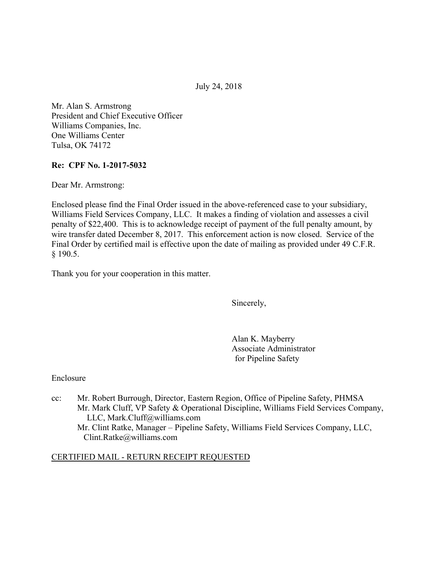July 24, 2018

Mr. Alan S. Armstrong President and Chief Executive Officer Williams Companies, Inc. One Williams Center Tulsa, OK 74172

### **Re: CPF No. 1-2017-5032**

Dear Mr. Armstrong:

Enclosed please find the Final Order issued in the above-referenced case to your subsidiary, Williams Field Services Company, LLC. It makes a finding of violation and assesses a civil penalty of \$22,400. This is to acknowledge receipt of payment of the full penalty amount, by wire transfer dated December 8, 2017. This enforcement action is now closed. Service of the Final Order by certified mail is effective upon the date of mailing as provided under 49 C.F.R. § 190.5.

Thank you for your cooperation in this matter.

Sincerely,

Alan K. Mayberry Associate Administrator for Pipeline Safety

Enclosure

cc: Mr. Robert Burrough, Director, Eastern Region, Office of Pipeline Safety, PHMSA Mr. Mark Cluff, VP Safety & Operational Discipline, Williams Field Services Company, LLC, Mark.Cluff@williams.com Mr. Clint Ratke, Manager – Pipeline Safety, Williams Field Services Company, LLC, Clint.Ratke@williams.com

### CERTIFIED MAIL - RETURN RECEIPT REQUESTED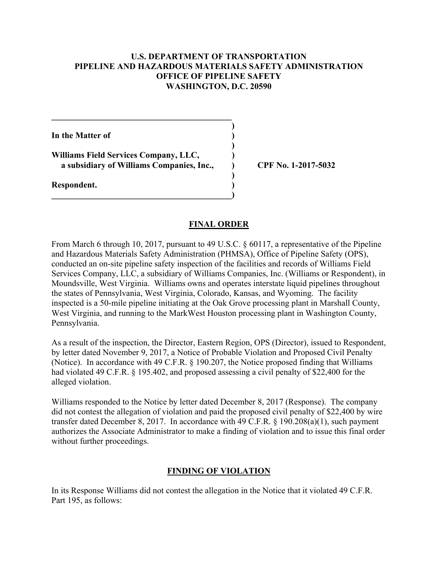### **U.S. DEPARTMENT OF TRANSPORTATION PIPELINE AND HAZARDOUS MATERIALS SAFETY ADMINISTRATION OFFICE OF PIPELINE SAFETY WASHINGTON, D.C. 20590**

**)**

 **)**

 **)**

**In the Matter of )**

**Williams Field Services Company, LLC, ) a subsidiary of Williams Companies, Inc., ) CPF No. 1-2017-5032**

**\_\_\_\_\_\_\_\_\_\_\_\_\_\_\_\_\_\_\_\_\_\_\_\_\_\_\_\_\_\_\_\_\_\_\_\_\_\_\_\_\_\_)** 

 $\mathcal{L} = \{ \mathcal{L} \}$ 

**Respondent. )** 

## **FINAL ORDER**

From March 6 through 10, 2017, pursuant to 49 U.S.C. § 60117, a representative of the Pipeline and Hazardous Materials Safety Administration (PHMSA), Office of Pipeline Safety (OPS), conducted an on-site pipeline safety inspection of the facilities and records of Williams Field Services Company, LLC, a subsidiary of Williams Companies, Inc. (Williams or Respondent), in Moundsville, West Virginia. Williams owns and operates interstate liquid pipelines throughout the states of Pennsylvania, West Virginia, Colorado, Kansas, and Wyoming. The facility inspected is a 50-mile pipeline initiating at the Oak Grove processing plant in Marshall County, West Virginia, and running to the MarkWest Houston processing plant in Washington County, Pennsylvania.

As a result of the inspection, the Director, Eastern Region, OPS (Director), issued to Respondent, by letter dated November 9, 2017, a Notice of Probable Violation and Proposed Civil Penalty (Notice). In accordance with 49 C.F.R. § 190.207, the Notice proposed finding that Williams had violated 49 C.F.R. § 195.402, and proposed assessing a civil penalty of \$22,400 for the alleged violation.

Williams responded to the Notice by letter dated December 8, 2017 (Response). The company did not contest the allegation of violation and paid the proposed civil penalty of \$22,400 by wire transfer dated December 8, 2017. In accordance with 49 C.F.R. § 190.208(a)(1), such payment authorizes the Associate Administrator to make a finding of violation and to issue this final order without further proceedings.

# **FINDING OF VIOLATION**

In its Response Williams did not contest the allegation in the Notice that it violated 49 C.F.R. Part 195, as follows: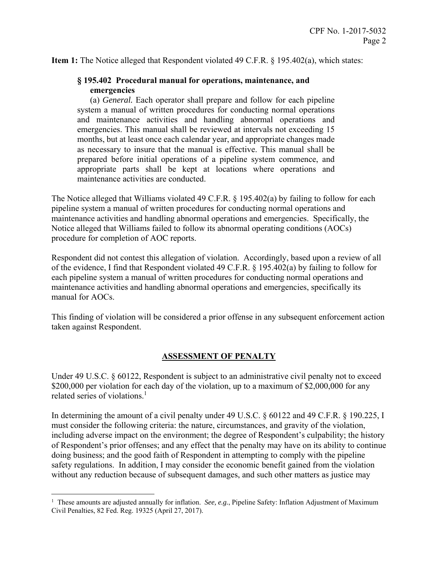**Item 1:** The Notice alleged that Respondent violated 49 C.F.R. § 195.402(a), which states:

### **§ 195.402 Procedural manual for operations, maintenance, and emergencies**

 system a manual of written procedures for conducting normal operations (a) *General.* Each operator shall prepare and follow for each pipeline and maintenance activities and handling abnormal operations and emergencies. This manual shall be reviewed at intervals not exceeding 15 months, but at least once each calendar year, and appropriate changes made as necessary to insure that the manual is effective. This manual shall be prepared before initial operations of a pipeline system commence, and appropriate parts shall be kept at locations where operations and maintenance activities are conducted.

The Notice alleged that Williams violated 49 C.F.R. § 195.402(a) by failing to follow for each pipeline system a manual of written procedures for conducting normal operations and maintenance activities and handling abnormal operations and emergencies. Specifically, the Notice alleged that Williams failed to follow its abnormal operating conditions (AOCs) procedure for completion of AOC reports.

Respondent did not contest this allegation of violation. Accordingly, based upon a review of all of the evidence, I find that Respondent violated 49 C.F.R. § 195.402(a) by failing to follow for each pipeline system a manual of written procedures for conducting normal operations and maintenance activities and handling abnormal operations and emergencies, specifically its manual for AOCs.

This finding of violation will be considered a prior offense in any subsequent enforcement action taken against Respondent.

# **ASSESSMENT OF PENALTY**

related series of violations.<sup>1</sup> Under 49 U.S.C. § 60122, Respondent is subject to an administrative civil penalty not to exceed \$200,000 per violation for each day of the violation, up to a maximum of \$2,000,000 for any

In determining the amount of a civil penalty under 49 U.S.C. § 60122 and 49 C.F.R. § 190.225, I must consider the following criteria: the nature, circumstances, and gravity of the violation, including adverse impact on the environment; the degree of Respondent's culpability; the history of Respondent's prior offenses; and any effect that the penalty may have on its ability to continue doing business; and the good faith of Respondent in attempting to comply with the pipeline safety regulations. In addition, I may consider the economic benefit gained from the violation without any reduction because of subsequent damages, and such other matters as justice may

 $\overline{a}$ 

<sup>&</sup>lt;sup>1</sup> These amounts are adjusted annually for inflation. *See, e.g.*, Pipeline Safety: Inflation Adjustment of Maximum Civil Penalties, 82 Fed. Reg. 19325 (April 27, 2017).